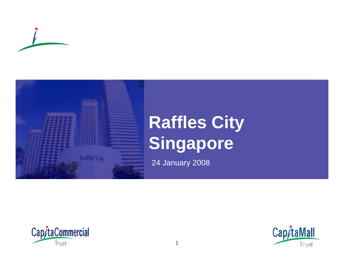



# **Raffles City Singapore**

24 January 2008



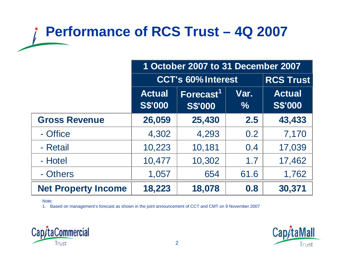## **Performance of RCS Trust – 4Q 2007**

|                            | 1 October 2007 to 31 December 2007 |                                         |              |                                 |
|----------------------------|------------------------------------|-----------------------------------------|--------------|---------------------------------|
|                            | <b>CCT's 60% Interest</b>          |                                         |              | <b>RCS Trust</b>                |
|                            | <b>Actual</b><br><b>S\$'000</b>    | Forecast <sup>1</sup><br><b>S\$'000</b> | Var.<br>$\%$ | <b>Actual</b><br><b>S\$'000</b> |
| <b>Gross Revenue</b>       | 26,059                             | 25,430                                  | 2.5          | 43,433                          |
| - Office                   | 4,302                              | 4,293                                   | 0.2          | 7,170                           |
| - Retail                   | 10,223                             | 10,181                                  | 0.4          | 17,039                          |
| - Hotel                    | 10,477                             | 10,302                                  | 1.7          | 17,462                          |
| - Others                   | 1,057                              | 654                                     | 61.6         | 1,762                           |
| <b>Net Property Income</b> | 18,223                             | 18,078                                  | 0.8          | 30,371                          |

#### Note:

1. Based on management's forecast as shown in the joint announcement of CCT and CMT on 9 November 2007



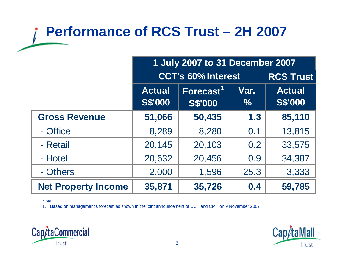## **Performance of RCS Trust – 2H 2007**

|                            | 1 July 2007 to 31 December 2007 |                                         |              |                                 |
|----------------------------|---------------------------------|-----------------------------------------|--------------|---------------------------------|
|                            | <b>CCT's 60% Interest</b>       |                                         |              | <b>RCS Trust</b>                |
|                            | <b>Actual</b><br><b>S\$'000</b> | Forecast <sup>1</sup><br><b>S\$'000</b> | Var.<br>$\%$ | <b>Actual</b><br><b>S\$'000</b> |
| <b>Gross Revenue</b>       | 51,066                          | 50,435                                  | 1.3          | 85,110                          |
| - Office                   | 8,289                           | 8,280                                   | 0.1          | 13,815                          |
| - Retail                   | 20,145                          | 20,103                                  | 0.2          | 33,575                          |
| - Hotel                    | 20,632                          | 20,456                                  | 0.9          | 34,387                          |
| - Others                   | 2,000                           | 1,596                                   | 25.3         | 3,333                           |
| <b>Net Property Income</b> | 35,871                          | 35,726                                  | 0.4          | 59,785                          |

#### Note:

1. Based on management's forecast as shown in the joint announcement of CCT and CMT on 9 November 2007



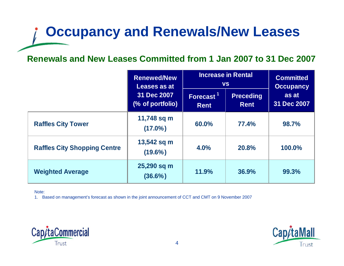## **Occupancy and Renewals/New Leases**

#### **Renewals and New Leases Committed from 1 Jan 2007 to 31 Dec 2007**

|                                     | <b>Renewed/New</b><br>Leases as at<br>31 Dec 2007<br>(% of portfolio) | <b>Increase in Rental</b><br><b>VS</b> |                                 | <b>Committed</b><br><b>Occupancy</b> |
|-------------------------------------|-----------------------------------------------------------------------|----------------------------------------|---------------------------------|--------------------------------------|
|                                     |                                                                       | Forecast <sup>11</sup><br><b>Rent</b>  | <b>Preceding</b><br><b>Rent</b> | as at<br>31 Dec 2007                 |
| <b>Raffles City Tower</b>           | 11,748 sq m<br>$(17.0\%)$                                             | 60.0%                                  | 77.4%                           | 98.7%                                |
| <b>Raffles City Shopping Centre</b> | 13,542 sq m<br>$(19.6\%)$                                             | 4.0%                                   | <b>20.8%</b>                    | 100.0%                               |
| <b>Weighted Average</b>             | 25,290 sq m<br>$(36.6\%)$                                             | 11.9%                                  | 36.9%                           | 99.3%                                |

Note:

1. Based on management's forecast as shown in the joint announcement of CCT and CMT on 9 November 2007



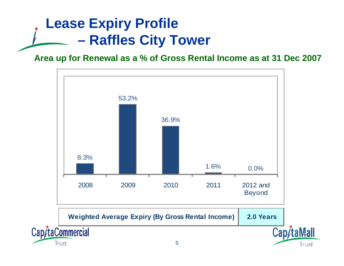#### **Lease Expiry Profile – Raffles City Tower**

#### **Area up for Renewal as a % of Gross Rental Income as at 31 Dec 2007**





Cap/taMall

Trust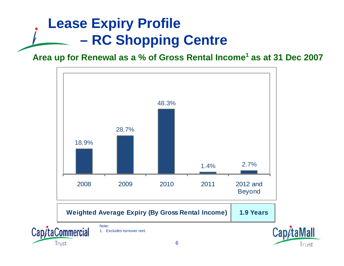#### **Lease Expiry Profile – RC Shopping Centre**

#### **Area up for Renewal as a % of Gross Rental Income<sup>1</sup> as at 31 Dec 2007**

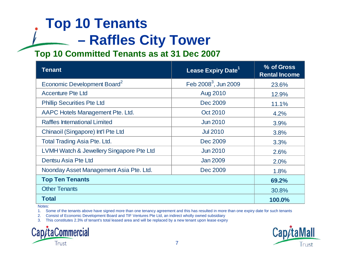### **Top 10 Tenants – Raffles City Tower**

#### **Top 10 Committed Tenants as at 31 Dec 2007**

| <b>Tenant</b>                            | Lease Expiry Date <sup>1</sup> | % of Gross<br><b>Rental Income</b> |
|------------------------------------------|--------------------------------|------------------------------------|
| Economic Development Board <sup>2</sup>  | Feb $2008^3$ , Jun 2009        | 23.6%                              |
| <b>Accenture Pte Ltd</b>                 | Aug 2010                       | 12.9%                              |
| <b>Phillip Securities Pte Ltd</b>        | Dec 2009                       | 11.1%                              |
| AAPC Hotels Management Pte. Ltd.         | Oct 2010                       | 4.2%                               |
| Raffles International Limited            | <b>Jun 2010</b>                | 3.9%                               |
| Chinaoil (Singapore) Int'l Pte Ltd       | <b>Jul 2010</b>                | 3.8%                               |
| <b>Total Trading Asia Pte. Ltd.</b>      | Dec 2009                       | 3.3%                               |
| LVMH Watch & Jewellery Singapore Pte Ltd | <b>Jun 2010</b>                | 2.6%                               |
| Dentsu Asia Pte Ltd                      | <b>Jan 2009</b>                | 2.0%                               |
| Noonday Asset Management Asia Pte. Ltd.  | Dec 2009                       | 1.8%                               |
| <b>Top Ten Tenants</b>                   | 69.2%                          |                                    |
| <b>Other Tenants</b>                     | 30.8%                          |                                    |
| Total                                    | 100.0%                         |                                    |

Notes:

1. Some of the tenants above have signed more than one tenancy agreement and this has resulted in more than one expiry date for such tenants

2. Consist of Economic Development Board and TIF Ventures Pte Ltd, an indirect wholly owned subsidiary

3. This constitutes 2.3% of tenant's total leased area and will be replaced by a new tenant upon lease expiry



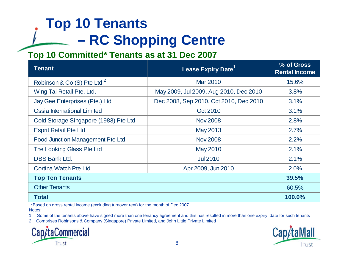### **Top 10 Tenants – RC Shopping Centre**

#### **Top 10 Committed\* Tenants as at 31 Dec 2007**

| <b>Tenant</b>                           | Lease Expiry Date <sup>1</sup>         | % of Gross<br><b>Rental Income</b> |
|-----------------------------------------|----------------------------------------|------------------------------------|
| Robinson & Co (S) Pte Ltd <sup>2</sup>  | <b>Mar 2010</b>                        | 15.6%                              |
| Wing Tai Retail Pte. Ltd.               | May 2009, Jul 2009, Aug 2010, Dec 2010 | 3.8%                               |
| Jay Gee Enterprises (Pte.) Ltd          | Dec 2008, Sep 2010, Oct 2010, Dec 2010 | 3.1%                               |
| Ossia International Limited             | Oct 2010                               | 3.1%                               |
| Cold Storage Singapore (1983) Pte Ltd   | <b>Nov 2008</b>                        | 2.8%                               |
| <b>Esprit Retail Pte Ltd</b>            | May 2013                               | 2.7%                               |
| <b>Food Junction Management Pte Ltd</b> | <b>Nov 2008</b>                        | 2.2%                               |
| The Looking Glass Pte Ltd               | <b>May 2010</b>                        | 2.1%                               |
| <b>DBS Bank Ltd.</b>                    | <b>Jul 2010</b>                        | 2.1%                               |
| Cortina Watch Pte Ltd                   | Apr 2009, Jun 2010                     | 2.0%                               |
| <b>Top Ten Tenants</b>                  | 39.5%                                  |                                    |
| <b>Other Tenants</b>                    | 60.5%                                  |                                    |
| Total                                   |                                        | 100.0%                             |

Notes:\*Based on gross rental income (excluding turnover rent) for the month of Dec 2007

1. Some of the tenants above have signed more than one tenancy agreement and this has resulted in more than one expiry date for such tenants

2. Comprises Robinsons & Company (Singapore) Private Limited, and John Little Private Limited



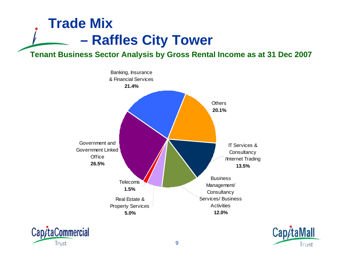#### **Trade Mix – Raffles City Tower**

**Tenant Business Sector Analysis by Gross Rental Income as at 31 Dec 2007**





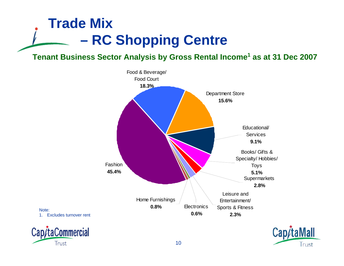#### **Trade Mix – RC Shopping Centre**

Note:

CapitaCommercial

Trust

#### **Tenant Business Sector Analysis by Gross Rental Income<sup>1</sup> as at 31 Dec 2007**





10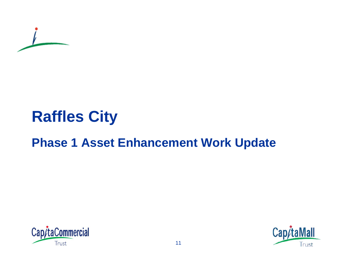

# **Raffles City**

### **Phase 1 Asset Enhancement Work Update**



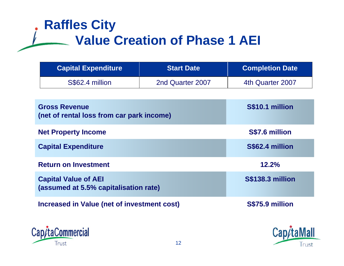### **Raffles City Value Creation of Phase 1 AEI**

| <b>Capital Expenditure</b> | <b>Start Date</b> | <b>Completion Date</b> |
|----------------------------|-------------------|------------------------|
| S\$62.4 million            | 2nd Quarter 2007  | 4th Quarter 2007       |

| <b>Gross Revenue</b><br>(net of rental loss from car park income)    | S\$10.1 million         |
|----------------------------------------------------------------------|-------------------------|
| <b>Net Property Income</b>                                           | S\$7.6 million          |
| <b>Capital Expenditure</b>                                           | S\$62.4 million         |
| <b>Return on Investment</b>                                          | 12.2%                   |
| <b>Capital Value of AEI</b><br>(assumed at 5.5% capitalisation rate) | <b>S\$138.3 million</b> |
| <b>Increased in Value (net of investment cost)</b>                   | S\$75.9 million         |



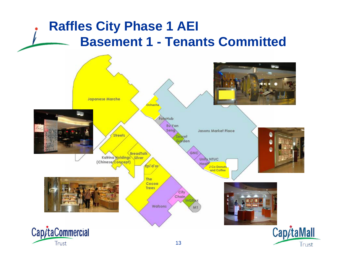### **Raffles City Phase 1 AEI Basement 1 - Tenants Committed**

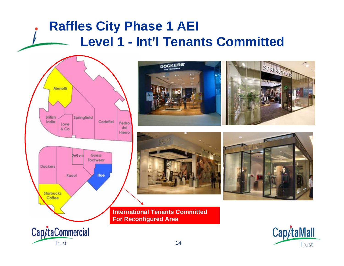### **Raffles City Phase 1 AEI Level 1 - Int'l Tenants Committed**









**International Tenants Committed For Reconfigured Area** 

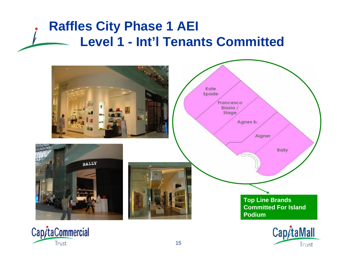### **Raffles City Phase 1 AEI Level 1 - Int'l Tenants Committed**





Trust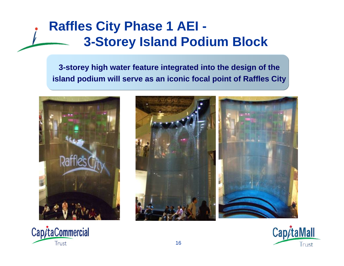### **Raffles City Phase 1 AEI - 3-Storey Island Podium Block**

**3-storey high water feature integrated into the design of the island podium will serve as an iconic focal point of Raffles City**







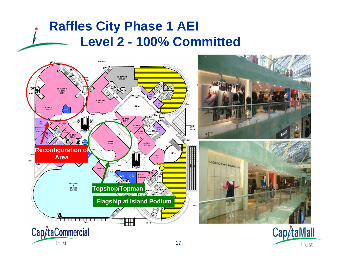### **Raffles City Phase 1 AEI Level 2 - 100% Committed**

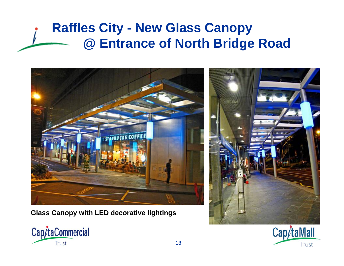### **Raffles City - New Glass Canopy @ Entrance of North Bridge Road**



**Glass Canopy with LED decorative lightings**